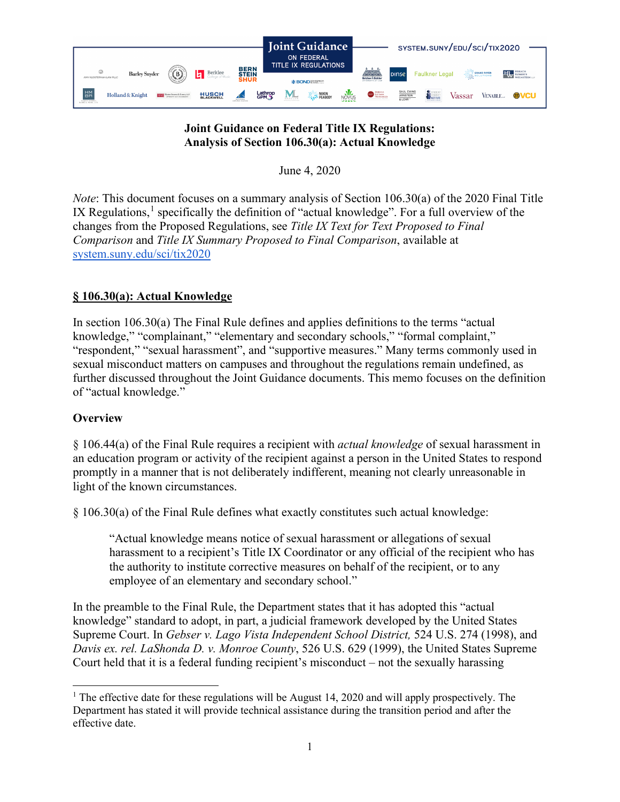

# **Joint Guidance on Federal Title IX Regulations: Analysis of Section 106.30(a): Actual Knowledge**

June 4, 2020

*Note*: This document focuses on a summary analysis of Section 106.30(a) of the 2020 Final Title IX Regulations,<sup>[1](#page-0-0)</sup> specifically the definition of "actual knowledge". For a full overview of the changes from the Proposed Regulations, see *Title IX Text for Text Proposed to Final Comparison* and *Title IX Summary Proposed to Final Comparison*, available at [system.suny.edu/sci/tix2020](https://system.suny.edu/sci/tix2020/)

# **§ 106.30(a): Actual Knowledge**

In section 106.30(a) The Final Rule defines and applies definitions to the terms "actual knowledge," "complainant," "elementary and secondary schools," "formal complaint," "respondent," "sexual harassment", and "supportive measures." Many terms commonly used in sexual misconduct matters on campuses and throughout the regulations remain undefined, as further discussed throughout the Joint Guidance documents. This memo focuses on the definition of "actual knowledge."

## **Overview**

§ 106.44(a) of the Final Rule requires a recipient with *actual knowledge* of sexual harassment in an education program or activity of the recipient against a person in the United States to respond promptly in a manner that is not deliberately indifferent, meaning not clearly unreasonable in light of the known circumstances.

§ 106.30(a) of the Final Rule defines what exactly constitutes such actual knowledge:

"Actual knowledge means notice of sexual harassment or allegations of sexual harassment to a recipient's Title IX Coordinator or any official of the recipient who has the authority to institute corrective measures on behalf of the recipient, or to any employee of an elementary and secondary school."

In the preamble to the Final Rule, the Department states that it has adopted this "actual knowledge" standard to adopt, in part, a judicial framework developed by the United States Supreme Court. In *Gebser v. Lago Vista Independent School District,* 524 U.S. 274 (1998), and *Davis ex. rel. LaShonda D. v. Monroe County*, 526 U.S. 629 (1999), the United States Supreme Court held that it is a federal funding recipient's misconduct – not the sexually harassing

<span id="page-0-0"></span><sup>&</sup>lt;sup>1</sup> The effective date for these regulations will be August 14, 2020 and will apply prospectively. The Department has stated it will provide technical assistance during the transition period and after the effective date.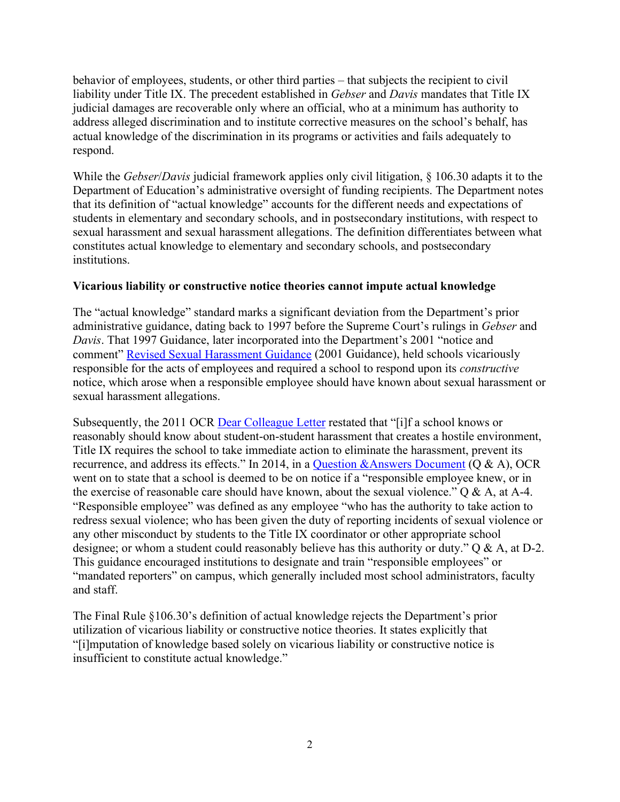behavior of employees, students, or other third parties – that subjects the recipient to civil liability under Title IX. The precedent established in *Gebser* and *Davis* mandates that Title IX judicial damages are recoverable only where an official, who at a minimum has authority to address alleged discrimination and to institute corrective measures on the school's behalf, has actual knowledge of the discrimination in its programs or activities and fails adequately to respond.

While the *Gebser*/*Davis* judicial framework applies only civil litigation, § 106.30 adapts it to the Department of Education's administrative oversight of funding recipients. The Department notes that its definition of "actual knowledge" accounts for the different needs and expectations of students in elementary and secondary schools, and in postsecondary institutions, with respect to sexual harassment and sexual harassment allegations. The definition differentiates between what constitutes actual knowledge to elementary and secondary schools, and postsecondary institutions.

## **Vicarious liability or constructive notice theories cannot impute actual knowledge**

The "actual knowledge" standard marks a significant deviation from the Department's prior administrative guidance, dating back to 1997 before the Supreme Court's rulings in *Gebser* and *Davis*. That 1997 Guidance, later incorporated into the Department's 2001 "notice and comment" [Revised Sexual Harassment Guidance](https://www2.ed.gov/about/offices/list/ocr/docs/shguide.html) (2001 Guidance), held schools vicariously responsible for the acts of employees and required a school to respond upon its *constructive*  notice, which arose when a responsible employee should have known about sexual harassment or sexual harassment allegations.

Subsequently, the 2011 OCR [Dear Colleague Letter](https://www2.ed.gov/about/offices/list/ocr/letters/colleague-201104.html) restated that "[i]f a school knows or reasonably should know about student-on-student harassment that creates a hostile environment, Title IX requires the school to take immediate action to eliminate the harassment, prevent its recurrence, and address its effects." In 2014, in a [Question &Answers Document](https://www2.ed.gov/about/offices/list/ocr/docs/qa-201404-title-ix.pdf) (Q & A), OCR went on to state that a school is deemed to be on notice if a "responsible employee knew, or in the exercise of reasonable care should have known, about the sexual violence."  $Q & A$ , at A-4. "Responsible employee" was defined as any employee "who has the authority to take action to redress sexual violence; who has been given the duty of reporting incidents of sexual violence or any other misconduct by students to the Title IX coordinator or other appropriate school designee; or whom a student could reasonably believe has this authority or duty." Q & A, at D-2. This guidance encouraged institutions to designate and train "responsible employees" or "mandated reporters" on campus, which generally included most school administrators, faculty and staff.

The Final Rule §106.30's definition of actual knowledge rejects the Department's prior utilization of vicarious liability or constructive notice theories. It states explicitly that "[i]mputation of knowledge based solely on vicarious liability or constructive notice is insufficient to constitute actual knowledge."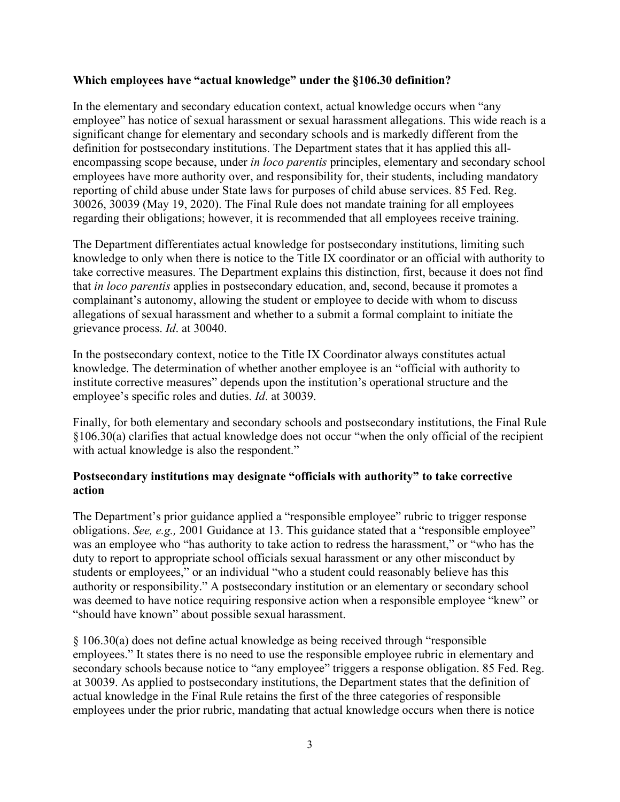#### **Which employees have "actual knowledge" under the §106.30 definition?**

In the elementary and secondary education context, actual knowledge occurs when "any employee" has notice of sexual harassment or sexual harassment allegations. This wide reach is a significant change for elementary and secondary schools and is markedly different from the definition for postsecondary institutions. The Department states that it has applied this allencompassing scope because, under *in loco parentis* principles, elementary and secondary school employees have more authority over, and responsibility for, their students, including mandatory reporting of child abuse under State laws for purposes of child abuse services. 85 Fed. Reg. 30026, 30039 (May 19, 2020). The Final Rule does not mandate training for all employees regarding their obligations; however, it is recommended that all employees receive training.

The Department differentiates actual knowledge for postsecondary institutions, limiting such knowledge to only when there is notice to the Title IX coordinator or an official with authority to take corrective measures. The Department explains this distinction, first, because it does not find that *in loco parentis* applies in postsecondary education, and, second, because it promotes a complainant's autonomy, allowing the student or employee to decide with whom to discuss allegations of sexual harassment and whether to a submit a formal complaint to initiate the grievance process. *Id*. at 30040.

In the postsecondary context, notice to the Title IX Coordinator always constitutes actual knowledge. The determination of whether another employee is an "official with authority to institute corrective measures" depends upon the institution's operational structure and the employee's specific roles and duties. *Id*. at 30039.

Finally, for both elementary and secondary schools and postsecondary institutions, the Final Rule §106.30(a) clarifies that actual knowledge does not occur "when the only official of the recipient with actual knowledge is also the respondent."

## **Postsecondary institutions may designate "officials with authority" to take corrective action**

The Department's prior guidance applied a "responsible employee" rubric to trigger response obligations. *See, e.g.,* 2001 Guidance at 13. This guidance stated that a "responsible employee" was an employee who "has authority to take action to redress the harassment," or "who has the duty to report to appropriate school officials sexual harassment or any other misconduct by students or employees," or an individual "who a student could reasonably believe has this authority or responsibility." A postsecondary institution or an elementary or secondary school was deemed to have notice requiring responsive action when a responsible employee "knew" or "should have known" about possible sexual harassment.

§ 106.30(a) does not define actual knowledge as being received through "responsible employees." It states there is no need to use the responsible employee rubric in elementary and secondary schools because notice to "any employee" triggers a response obligation. 85 Fed. Reg. at 30039. As applied to postsecondary institutions, the Department states that the definition of actual knowledge in the Final Rule retains the first of the three categories of responsible employees under the prior rubric, mandating that actual knowledge occurs when there is notice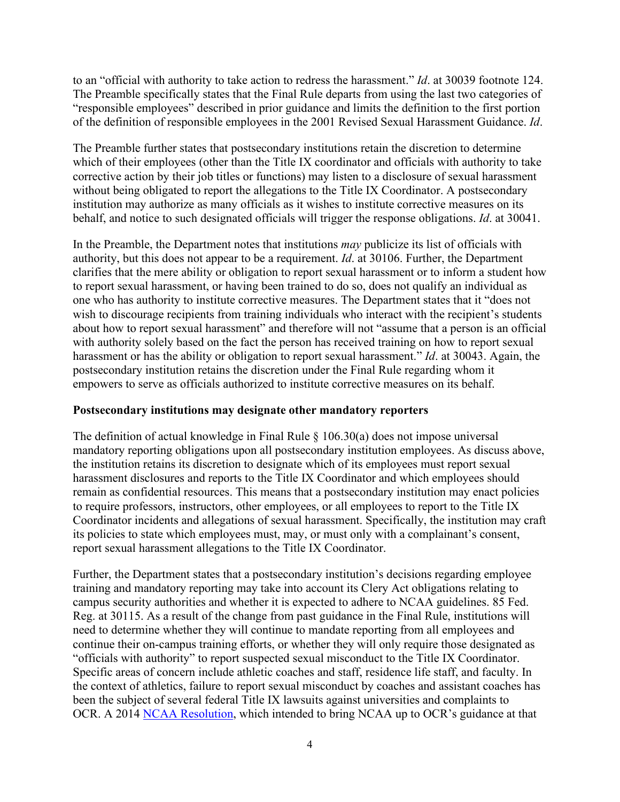to an "official with authority to take action to redress the harassment." *Id*. at 30039 footnote 124. The Preamble specifically states that the Final Rule departs from using the last two categories of "responsible employees" described in prior guidance and limits the definition to the first portion of the definition of responsible employees in the 2001 Revised Sexual Harassment Guidance. *Id*.

The Preamble further states that postsecondary institutions retain the discretion to determine which of their employees (other than the Title IX coordinator and officials with authority to take corrective action by their job titles or functions) may listen to a disclosure of sexual harassment without being obligated to report the allegations to the Title IX Coordinator. A postsecondary institution may authorize as many officials as it wishes to institute corrective measures on its behalf, and notice to such designated officials will trigger the response obligations. *Id*. at 30041.

In the Preamble, the Department notes that institutions *may* publicize its list of officials with authority, but this does not appear to be a requirement. *Id*. at 30106. Further, the Department clarifies that the mere ability or obligation to report sexual harassment or to inform a student how to report sexual harassment, or having been trained to do so, does not qualify an individual as one who has authority to institute corrective measures. The Department states that it "does not wish to discourage recipients from training individuals who interact with the recipient's students about how to report sexual harassment" and therefore will not "assume that a person is an official with authority solely based on the fact the person has received training on how to report sexual harassment or has the ability or obligation to report sexual harassment." *Id*. at 30043. Again, the postsecondary institution retains the discretion under the Final Rule regarding whom it empowers to serve as officials authorized to institute corrective measures on its behalf.

#### **Postsecondary institutions may designate other mandatory reporters**

The definition of actual knowledge in Final Rule  $\S$  106.30(a) does not impose universal mandatory reporting obligations upon all postsecondary institution employees. As discuss above, the institution retains its discretion to designate which of its employees must report sexual harassment disclosures and reports to the Title IX Coordinator and which employees should remain as confidential resources. This means that a postsecondary institution may enact policies to require professors, instructors, other employees, or all employees to report to the Title IX Coordinator incidents and allegations of sexual harassment. Specifically, the institution may craft its policies to state which employees must, may, or must only with a complainant's consent, report sexual harassment allegations to the Title IX Coordinator.

Further, the Department states that a postsecondary institution's decisions regarding employee training and mandatory reporting may take into account its Clery Act obligations relating to campus security authorities and whether it is expected to adhere to NCAA guidelines. 85 Fed. Reg. at 30115. As a result of the change from past guidance in the Final Rule, institutions will need to determine whether they will continue to mandate reporting from all employees and continue their on-campus training efforts, or whether they will only require those designated as "officials with authority" to report suspected sexual misconduct to the Title IX Coordinator. Specific areas of concern include athletic coaches and staff, residence life staff, and faculty. In the context of athletics, failure to report sexual misconduct by coaches and assistant coaches has been the subject of several federal Title IX lawsuits against universities and complaints to OCR. A 2014 [NCAA Resolution,](http://www.ncaa.org/governance/committees/executive-committee-statement-sexual-violence-prevention-and-complaint-resolution) which intended to bring NCAA up to OCR's guidance at that